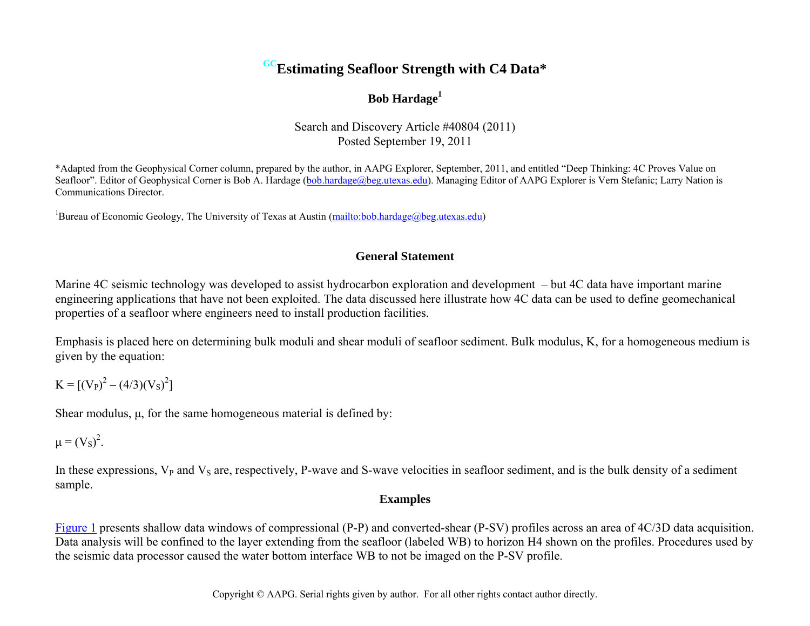# **GCEstimating Seafloor Strength with C4 Data\***

## **Bob Hardage<sup>1</sup>**

Search and Discovery Article #40804 (2011) Posted September 19, 2011

\*Adapted from the Geophysical Corner column, prepared by the author, in AAPG Explorer, September, 2011, and entitled "Deep Thinking: 4C Proves Value on Seafloor". Editor of Geophysical Corner is Bob A. Hardage [\(bob.hardage@beg.utexas.edu\)](mailto:bob.hardage@beg.utexas.edu). Managing Editor of AAPG Explorer is Vern Stefanic; Larry Nation is Communications Director.

<sup>1</sup>Bureau of Economic Geology, The University of Texas at Austin [\(mailto:bob.hardage@beg.utexas.edu\)](mailto:bob.hardage@beg.utexas.edu)

### **General Statement**

Marine 4C seismic technology was developed to assist hydrocarbon exploration and development – but 4C data have important marine engineering applications that have not been exploited. The data discussed here illustrate how 4C data can be used to define geomechanical properties of a seafloor where engineers need to install production facilities.

Emphasis is placed here on determining bulk moduli and shear moduli of seafloor sediment. Bulk modulus, K, for a homogeneous medium is given by the equation:

 $K = [(V_P)^2 - (4/3)(V_S)^2]$ 

Shear modulus,  $\mu$ , for the same homogeneous material is defined by:

 $\mu = (V_S)^2$ .

In these expressions,  $V_P$  and  $V_S$  are, respectively, P-wave and S-wave velocities in seafloor sediment, and is the bulk density of a sediment sample.

#### **Examples**

[Figure 1](#page-2-0) presents shallow data windows of compressional (P-P) and converted-shear (P-SV) profiles across an area of 4C/3D data acquisition. Data analysis will be confined to the layer extending from the seafloor (labeled WB) to horizon H4 shown on the profiles. Procedures used by the seismic data processor caused the water bottom interface WB to not be imaged on the P-SV profile.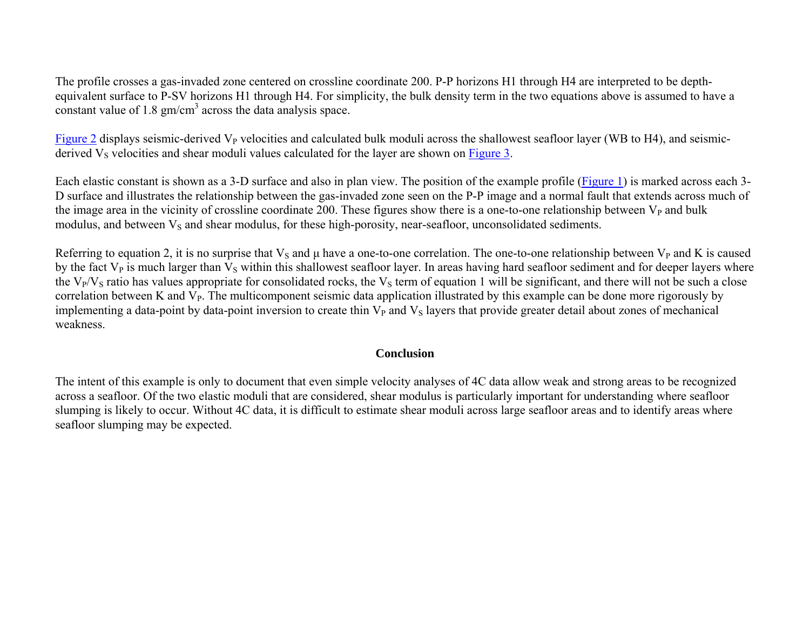The profile crosses a gas-invaded zone centered on crossline coordinate 200. P-P horizons H1 through H4 are interpreted to be depthequivalent surface to P-SV horizons H1 through H4. For simplicity, the bulk density term in the two equations above is assumed to have a constant value of 1.8  $\text{gm/cm}^3$  across the data analysis space.

[Figure 2](#page-3-0) displays seismic-derived  $V_P$  velocities and calculated bulk moduli across the shallowest seafloor layer (WB to H4), and seismicderived  $V_s$  velocities and shear moduli values calculated for the layer are shown on [Figure 3.](#page-4-0)

Each elastic constant is shown as a 3-D surface and also in plan view. The position of the example profile [\(Figure 1\)](#page-2-0) is marked across each 3- D surface and illustrates the relationship between the gas-invaded zone seen on the P-P image and a normal fault that extends across much of the image area in the vicinity of crossline coordinate 200. These figures show there is a one-to-one relationship between  $V_{P}$  and bulk modulus, and between  $V_s$  and shear modulus, for these high-porosity, near-seafloor, unconsolidated sediments.

Referring to equation 2, it is no surprise that  $V_s$  and  $\mu$  have a one-to-one correlation. The one-to-one relationship between  $V_p$  and K is caused by the fact  $V_P$  is much larger than  $V_S$  within this shallowest seafloor layer. In areas having hard seafloor sediment and for deeper layers where the  $V_P/V_S$  ratio has values appropriate for consolidated rocks, the  $V_S$  term of equation 1 will be significant, and there will not be such a close correlation between K and  $V_{P}$ . The multicomponent seismic data application illustrated by this example can be done more rigorously by implementing a data-point by data-point inversion to create thin  $V<sub>P</sub>$  and  $V<sub>S</sub>$  layers that provide greater detail about zones of mechanical weakness.

#### **Conclusion**

The intent of this example is only to document that even simple velocity analyses of 4C data allow weak and strong areas to be recognized across a seafloor. Of the two elastic moduli that are considered, shear modulus is particularly important for understanding where seafloor slumping is likely to occur. Without 4C data, it is difficult to estimate shear moduli across large seafloor areas and to identify areas where seafloor slumping may be expected.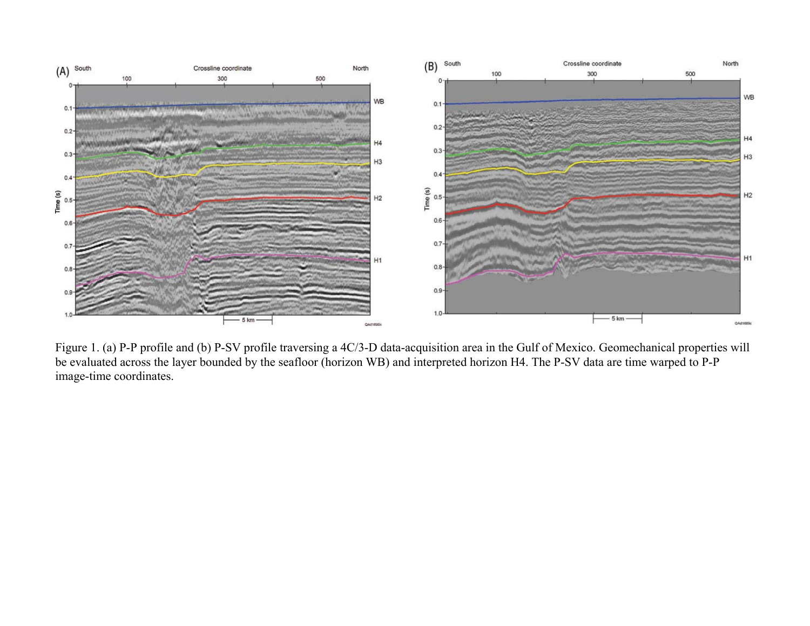<span id="page-2-0"></span>

Figure 1. (a) P-P profile and (b) P-SV profile traversing a 4C/3-D data-acquisition area in the Gulf of Mexico. Geomechanical properties will be evaluated across the layer bounded by the seafloor (horizon WB) and interpreted horizon H4. The P-SV data are time warped to P-P image-time coordinates.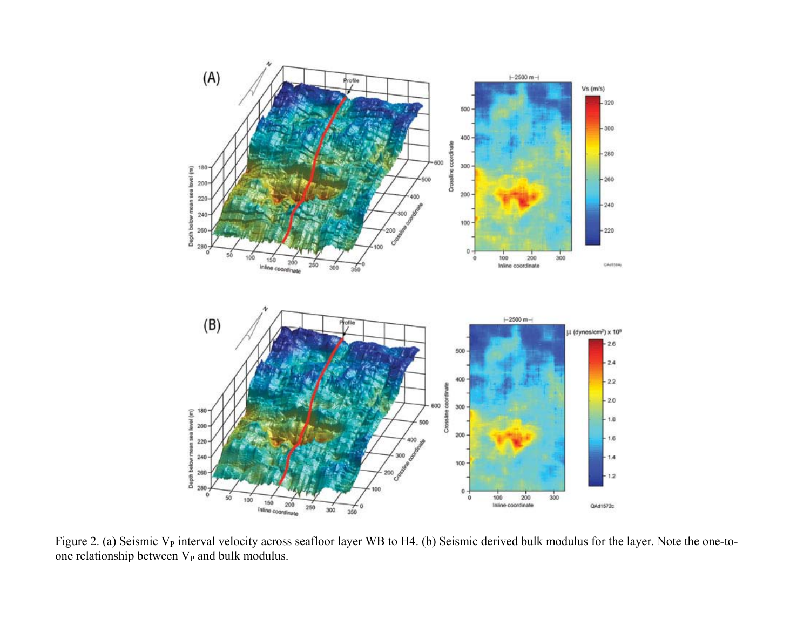<span id="page-3-0"></span>

Figure 2. (a) Seismic  $V_P$  interval velocity across seafloor layer WB to H4. (b) Seismic derived bulk modulus for the layer. Note the one-toone relationship between  $V_P$  and bulk modulus.